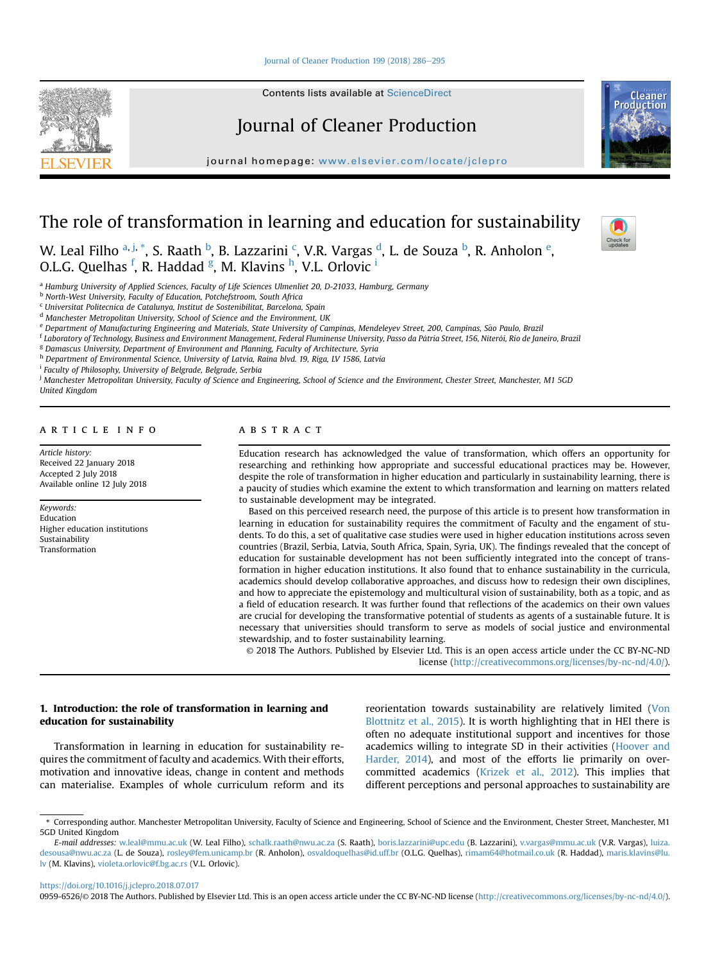### [Journal of Cleaner Production 199 \(2018\) 286](https://doi.org/10.1016/j.jclepro.2018.07.017)-[295](https://doi.org/10.1016/j.jclepro.2018.07.017)

Contents lists available at ScienceDirect

# Journal of Cleaner Production

journal homepage: [www.elsevier.com/locate/jclepro](http://www.elsevier.com/locate/jclepro)

# The role of transformation in learning and education for sustainability

W. Leal Filho <sup>a, j, \*</sup>, S. Raath <sup>b</sup>, B. Lazzarini <sup>c</sup>, V.R. Vargas <sup>d</sup>, L. de Souza <sup>b</sup>, R. Anholon <sup>e</sup>, O.L.G. Quelhas <sup>f</sup>, R. Haddad <sup>g</sup>, M. Klavins <sup>h</sup>, V.L. Orlovic <sup>i</sup>

a Hamburg University of Applied Sciences, Faculty of Life Sciences Ulmenliet 20, D-21033, Hamburg, Germany

**b North-West University, Faculty of Education, Potchefstroom, South Africa** 

<sup>c</sup> Universitat Politecnica de Catalunya, Institut de Sostenibilitat, Barcelona, Spain

<sup>d</sup> Manchester Metropolitan University, School of Science and the Environment, UK

e Department of Manufacturing Engineering and Materials, State University of Campinas, Mendeleyev Street, 200, Campinas, São Paulo, Brazil

<sup>f</sup> Laboratory of Technology, Business and Environment Management, Federal Fluminense University, Passo da Pátria Street, 156, Niterói, Rio de Janeiro, Brazil

<sup>g</sup> Damascus University, Department of Environment and Planning, Faculty of Architecture, Syria

h Department of Environmental Science, University of Latvia, Raina blvd. 19, Riga, LV 1586, Latvia

<sup>i</sup> Faculty of Philosophy, University of Belgrade, Belgrade, Serbia

<sup>j</sup> Manchester Metropolitan University, Faculty of Science and Engineering, School of Science and the Environment, Chester Street, Manchester, M1 5GD United Kingdom

### article info

Article history: Received 22 January 2018 Accepted 2 July 2018 Available online 12 July 2018

Keywords: Education Higher education institutions Sustainability Transformation

## ABSTRACT

Education research has acknowledged the value of transformation, which offers an opportunity for researching and rethinking how appropriate and successful educational practices may be. However, despite the role of transformation in higher education and particularly in sustainability learning, there is a paucity of studies which examine the extent to which transformation and learning on matters related to sustainable development may be integrated.

Based on this perceived research need, the purpose of this article is to present how transformation in learning in education for sustainability requires the commitment of Faculty and the engament of students. To do this, a set of qualitative case studies were used in higher education institutions across seven countries (Brazil, Serbia, Latvia, South Africa, Spain, Syria, UK). The findings revealed that the concept of education for sustainable development has not been sufficiently integrated into the concept of transformation in higher education institutions. It also found that to enhance sustainability in the curricula, academics should develop collaborative approaches, and discuss how to redesign their own disciplines, and how to appreciate the epistemology and multicultural vision of sustainability, both as a topic, and as a field of education research. It was further found that reflections of the academics on their own values are crucial for developing the transformative potential of students as agents of a sustainable future. It is necessary that universities should transform to serve as models of social justice and environmental stewardship, and to foster sustainability learning.

© 2018 The Authors. Published by Elsevier Ltd. This is an open access article under the CC BY-NC-ND license [\(http://creativecommons.org/licenses/by-nc-nd/4.0/](http://creativecommons.org/licenses/by-nc-nd/4.0/)).

## 1. Introduction: the role of transformation in learning and education for sustainability

Transformation in learning in education for sustainability requires the commitment of faculty and academics. With their efforts, motivation and innovative ideas, change in content and methods can materialise. Examples of whole curriculum reform and its reorientation towards sustainability are relatively limited ([Von](#page-9-0) [Blottnitz et al., 2015\)](#page-9-0). It is worth highlighting that in HEI there is often no adequate institutional support and incentives for those academics willing to integrate SD in their activities ([Hoover and](#page-8-0) [Harder, 2014\)](#page-8-0), and most of the efforts lie primarily on overcommitted academics [\(Krizek et al., 2012\)](#page-8-0). This implies that different perceptions and personal approaches to sustainability are

<https://doi.org/10.1016/j.jclepro.2018.07.017>







<sup>\*</sup> Corresponding author. Manchester Metropolitan University, Faculty of Science and Engineering, School of Science and the Environment, Chester Street, Manchester, M1 5GD United Kingdom

E-mail addresses: [w.leal@mmu.ac.uk](mailto:w.leal@mmu.ac.uk) (W. Leal Filho), [schalk.raath@nwu.ac.za](mailto:schalk.raath@nwu.ac.za) (S. Raath), [boris.lazzarini@upc.edu](mailto:boris.lazzarini@upc.edu) (B. Lazzarini), [v.vargas@mmu.ac.uk](mailto:v.vargas@mmu.ac.uk) (V.R. Vargas), [luiza.](mailto:luiza.desousa@nwu.ac.za) [desousa@nwu.ac.za](mailto:luiza.desousa@nwu.ac.za) (L. de Souza), [rosley@fem.unicamp.br](mailto:rosley@fem.unicamp.br) (R. Anholon), [osvaldoquelhas@id.uff.br](mailto:osvaldoquelhas@id.uff.br) (O.L.G. Quelhas), [rimam64@hotmail.co.uk](mailto:rimam64@hotmail.co.uk) (R. Haddad), [maris.klavins@lu.](mailto:maris.klavins@lu.lv) [lv](mailto:maris.klavins@lu.lv) (M. Klavins), [violeta.orlovic@f.bg.ac.rs](mailto:violeta.orlovic@f.bg.ac.rs) (V.L. Orlovic).

<sup>0959-6526/© 2018</sup> The Authors. Published by Elsevier Ltd. This is an open access article under the CC BY-NC-ND license ([http://creativecommons.org/licenses/by-nc-nd/4.0/\)](http://creativecommons.org/licenses/by-nc-nd/4.0/).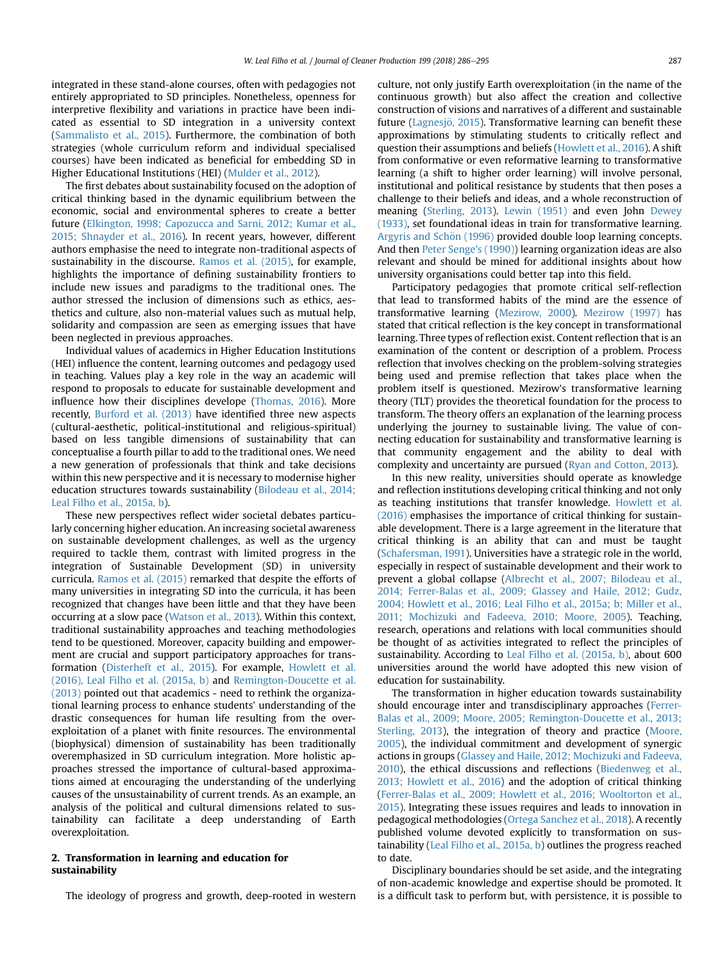integrated in these stand-alone courses, often with pedagogies not entirely appropriated to SD principles. Nonetheless, openness for interpretive flexibility and variations in practice have been indicated as essential to SD integration in a university context ([Sammalisto et al., 2015](#page-9-0)). Furthermore, the combination of both strategies (whole curriculum reform and individual specialised courses) have been indicated as beneficial for embedding SD in Higher Educational Institutions (HEI) [\(Mulder et al., 2012](#page-8-0)).

The first debates about sustainability focused on the adoption of critical thinking based in the dynamic equilibrium between the economic, social and environmental spheres to create a better future ([Elkington, 1998; Capozucca and Sarni, 2012; Kumar et al.,](#page-8-0) [2015; Shnayder et al., 2016\)](#page-8-0). In recent years, however, different authors emphasise the need to integrate non-traditional aspects of sustainability in the discourse. [Ramos et al. \(2015\)](#page-9-0), for example, highlights the importance of defining sustainability frontiers to include new issues and paradigms to the traditional ones. The author stressed the inclusion of dimensions such as ethics, aesthetics and culture, also non-material values such as mutual help, solidarity and compassion are seen as emerging issues that have been neglected in previous approaches.

Individual values of academics in Higher Education Institutions (HEI) influence the content, learning outcomes and pedagogy used in teaching. Values play a key role in the way an academic will respond to proposals to educate for sustainable development and influence how their disciplines develope ([Thomas, 2016](#page-9-0)). More recently, [Burford et al. \(2013\)](#page-8-0) have identified three new aspects (cultural-aesthetic, political-institutional and religious-spiritual) based on less tangible dimensions of sustainability that can conceptualise a fourth pillar to add to the traditional ones. We need a new generation of professionals that think and take decisions within this new perspective and it is necessary to modernise higher education structures towards sustainability [\(Bilodeau et al., 2014;](#page-7-0) [Leal Filho et al., 2015a, b](#page-7-0)).

These new perspectives reflect wider societal debates particularly concerning higher education. An increasing societal awareness on sustainable development challenges, as well as the urgency required to tackle them, contrast with limited progress in the integration of Sustainable Development (SD) in university curricula. [Ramos et al. \(2015\)](#page-9-0) remarked that despite the efforts of many universities in integrating SD into the curricula, it has been recognized that changes have been little and that they have been occurring at a slow pace [\(Watson et al., 2013](#page-9-0)). Within this context, traditional sustainability approaches and teaching methodologies tend to be questioned. Moreover, capacity building and empowerment are crucial and support participatory approaches for transformation ([Disterheft et al., 2015](#page-8-0)). For example, [Howlett et al.](#page-8-0) [\(2016\), Leal Filho et al. \(2015a, b\)](#page-8-0) and [Remington-Doucette et al.](#page-9-0) [\(2013\)](#page-9-0) pointed out that academics - need to rethink the organizational learning process to enhance students' understanding of the drastic consequences for human life resulting from the overexploitation of a planet with finite resources. The environmental (biophysical) dimension of sustainability has been traditionally overemphasized in SD curriculum integration. More holistic approaches stressed the importance of cultural-based approximations aimed at encouraging the understanding of the underlying causes of the unsustainability of current trends. As an example, an analysis of the political and cultural dimensions related to sustainability can facilitate a deep understanding of Earth overexploitation.

## 2. Transformation in learning and education for sustainability

The ideology of progress and growth, deep-rooted in western

culture, not only justify Earth overexploitation (in the name of the continuous growth) but also affect the creation and collective construction of visions and narratives of a different and sustainable future (Lagnesjö, 2015). Transformative learning can benefit these approximations by stimulating students to critically reflect and question their assumptions and beliefs [\(Howlett et al., 2016\)](#page-8-0). A shift from conformative or even reformative learning to transformative learning (a shift to higher order learning) will involve personal, institutional and political resistance by students that then poses a challenge to their beliefs and ideas, and a whole reconstruction of meaning [\(Sterling, 2013](#page-9-0)). [Lewin \(1951\)](#page-8-0) and even John [Dewey](#page-8-0) [\(1933\),](#page-8-0) set foundational ideas in train for transformative learning. Argyris and Schön (1996) provided double loop learning concepts. And then [Peter Senge's \(1990\)](#page-7-0)) learning organization ideas are also relevant and should be mined for additional insights about how university organisations could better tap into this field.

Participatory pedagogies that promote critical self-reflection that lead to transformed habits of the mind are the essence of transformative learning ([Mezirow, 2000](#page-8-0)). [Mezirow \(1997\)](#page-8-0) has stated that critical reflection is the key concept in transformational learning. Three types of reflection exist. Content reflection that is an examination of the content or description of a problem. Process reflection that involves checking on the problem-solving strategies being used and premise reflection that takes place when the problem itself is questioned. Mezirow's transformative learning theory (TLT) provides the theoretical foundation for the process to transform. The theory offers an explanation of the learning process underlying the journey to sustainable living. The value of connecting education for sustainability and transformative learning is that community engagement and the ability to deal with complexity and uncertainty are pursued [\(Ryan and Cotton, 2013\)](#page-9-0).

In this new reality, universities should operate as knowledge and reflection institutions developing critical thinking and not only as teaching institutions that transfer knowledge. [Howlett et al.](#page-8-0) [\(2016\)](#page-8-0) emphasises the importance of critical thinking for sustainable development. There is a large agreement in the literature that critical thinking is an ability that can and must be taught ([Schafersman, 1991](#page-9-0)). Universities have a strategic role in the world, especially in respect of sustainable development and their work to prevent a global collapse ([Albrecht et al., 2007; Bilodeau et al.,](#page-7-0) [2014; Ferrer-Balas et al., 2009; Glassey and Haile, 2012; Gudz,](#page-7-0) [2004; Howlett et al., 2016; Leal Filho et al., 2015a; b; Miller et al.,](#page-7-0) [2011; Mochizuki and Fadeeva, 2010; Moore, 2005\)](#page-7-0). Teaching, research, operations and relations with local communities should be thought of as activities integrated to reflect the principles of sustainability. According to [Leal Filho et al. \(2015a, b\)](#page-8-0), about 600 universities around the world have adopted this new vision of education for sustainability.

The transformation in higher education towards sustainability should encourage inter and transdisciplinary approaches ([Ferrer-](#page-8-0)[Balas et al., 2009; Moore, 2005; Remington-Doucette et al., 2013;](#page-8-0) [Sterling, 2013](#page-8-0)), the integration of theory and practice [\(Moore,](#page-8-0) [2005\)](#page-8-0), the individual commitment and development of synergic actions in groups [\(Glassey and Haile, 2012; Mochizuki and Fadeeva,](#page-8-0) [2010\)](#page-8-0), the ethical discussions and reflections ([Biedenweg et al.,](#page-7-0) [2013; Howlett et al., 2016](#page-7-0)) and the adoption of critical thinking ([Ferrer-Balas et al., 2009; Howlett et al., 2016; Wooltorton et al.,](#page-8-0) [2015\)](#page-8-0). Integrating these issues requires and leads to innovation in pedagogical methodologies [\(Ortega Sanchez et al., 2018](#page-8-0)). A recently published volume devoted explicitly to transformation on sustainability [\(Leal Filho et al., 2015a, b](#page-8-0)) outlines the progress reached to date.

Disciplinary boundaries should be set aside, and the integrating of non-academic knowledge and expertise should be promoted. It is a difficult task to perform but, with persistence, it is possible to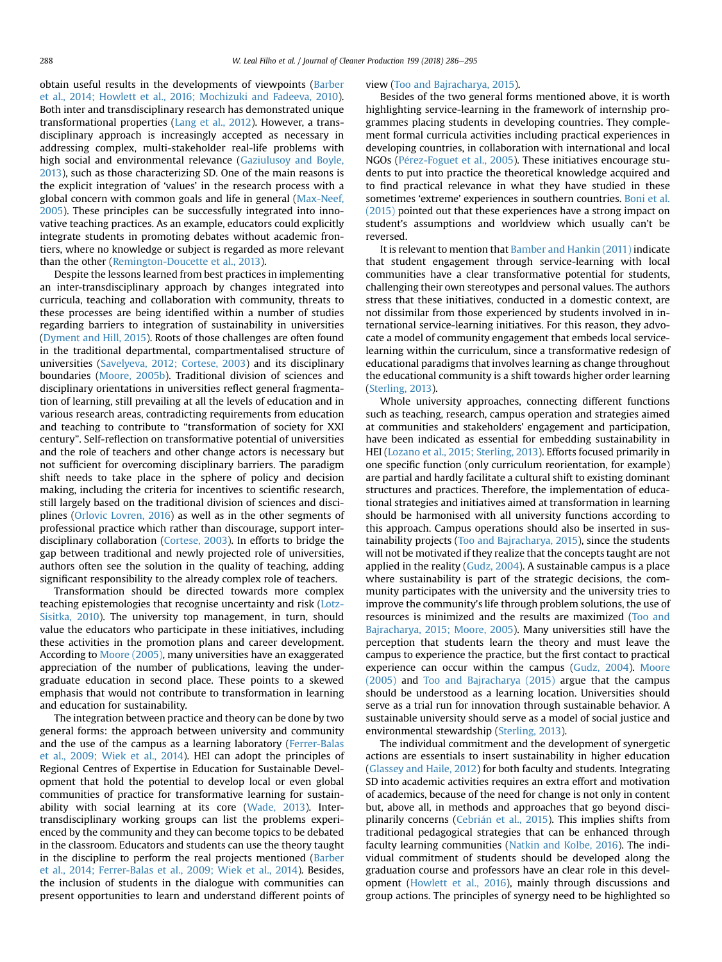obtain useful results in the developments of viewpoints ([Barber](#page-7-0) [et al., 2014; Howlett et al., 2016; Mochizuki and Fadeeva, 2010\)](#page-7-0). Both inter and transdisciplinary research has demonstrated unique transformational properties [\(Lang et al., 2012](#page-8-0)). However, a transdisciplinary approach is increasingly accepted as necessary in addressing complex, multi-stakeholder real-life problems with high social and environmental relevance [\(Gaziulusoy and Boyle,](#page-8-0) [2013](#page-8-0)), such as those characterizing SD. One of the main reasons is the explicit integration of 'values' in the research process with a global concern with common goals and life in general ([Max-Neef,](#page-8-0) [2005](#page-8-0)). These principles can be successfully integrated into innovative teaching practices. As an example, educators could explicitly integrate students in promoting debates without academic frontiers, where no knowledge or subject is regarded as more relevant than the other [\(Remington-Doucette et al., 2013](#page-9-0)).

Despite the lessons learned from best practices in implementing an inter-transdisciplinary approach by changes integrated into curricula, teaching and collaboration with community, threats to these processes are being identified within a number of studies regarding barriers to integration of sustainability in universities ([Dyment and Hill, 2015\)](#page-8-0). Roots of those challenges are often found in the traditional departmental, compartmentalised structure of universities [\(Savelyeva, 2012; Cortese, 2003\)](#page-9-0) and its disciplinary boundaries ([Moore, 2005b](#page-8-0)). Traditional division of sciences and disciplinary orientations in universities reflect general fragmentation of learning, still prevailing at all the levels of education and in various research areas, contradicting requirements from education and teaching to contribute to "transformation of society for XXI century". Self-reflection on transformative potential of universities and the role of teachers and other change actors is necessary but not sufficient for overcoming disciplinary barriers. The paradigm shift needs to take place in the sphere of policy and decision making, including the criteria for incentives to scientific research, still largely based on the traditional division of sciences and disciplines ([Orlovic Lovren, 2016\)](#page-8-0) as well as in the other segments of professional practice which rather than discourage, support interdisciplinary collaboration [\(Cortese, 2003\)](#page-8-0). In efforts to bridge the gap between traditional and newly projected role of universities, authors often see the solution in the quality of teaching, adding significant responsibility to the already complex role of teachers.

Transformation should be directed towards more complex teaching epistemologies that recognise uncertainty and risk ([Lotz-](#page-8-0)[Sisitka, 2010\)](#page-8-0). The university top management, in turn, should value the educators who participate in these initiatives, including these activities in the promotion plans and career development. According to [Moore \(2005\)](#page-8-0), many universities have an exaggerated appreciation of the number of publications, leaving the undergraduate education in second place. These points to a skewed emphasis that would not contribute to transformation in learning and education for sustainability.

The integration between practice and theory can be done by two general forms: the approach between university and community and the use of the campus as a learning laboratory ([Ferrer-Balas](#page-8-0) [et al., 2009; Wiek et al., 2014](#page-8-0)). HEI can adopt the principles of Regional Centres of Expertise in Education for Sustainable Development that hold the potential to develop local or even global communities of practice for transformative learning for sustainability with social learning at its core [\(Wade, 2013\)](#page-9-0). Intertransdisciplinary working groups can list the problems experienced by the community and they can become topics to be debated in the classroom. Educators and students can use the theory taught in the discipline to perform the real projects mentioned ([Barber](#page-7-0) [et al., 2014; Ferrer-Balas et al., 2009; Wiek et al., 2014\)](#page-7-0). Besides, the inclusion of students in the dialogue with communities can present opportunities to learn and understand different points of

#### view ([Too and Bajracharya, 2015\)](#page-9-0).

Besides of the two general forms mentioned above, it is worth highlighting service-learning in the framework of internship programmes placing students in developing countries. They complement formal curricula activities including practical experiences in developing countries, in collaboration with international and local NGOs (Pérez-Foguet et al., 2005). These initiatives encourage students to put into practice the theoretical knowledge acquired and to find practical relevance in what they have studied in these sometimes 'extreme' experiences in southern countries. [Boni et al.](#page-8-0) [\(2015\)](#page-8-0) pointed out that these experiences have a strong impact on student's assumptions and worldview which usually can't be reversed.

It is relevant to mention that [Bamber and Hankin \(2011\)](#page-7-0) indicate that student engagement through service-learning with local communities have a clear transformative potential for students, challenging their own stereotypes and personal values. The authors stress that these initiatives, conducted in a domestic context, are not dissimilar from those experienced by students involved in international service-learning initiatives. For this reason, they advocate a model of community engagement that embeds local servicelearning within the curriculum, since a transformative redesign of educational paradigms that involves learning as change throughout the educational community is a shift towards higher order learning ([Sterling, 2013](#page-9-0)).

Whole university approaches, connecting different functions such as teaching, research, campus operation and strategies aimed at communities and stakeholders' engagement and participation, have been indicated as essential for embedding sustainability in HEI [\(Lozano et al., 2015; Sterling, 2013](#page-8-0)). Efforts focused primarily in one specific function (only curriculum reorientation, for example) are partial and hardly facilitate a cultural shift to existing dominant structures and practices. Therefore, the implementation of educational strategies and initiatives aimed at transformation in learning should be harmonised with all university functions according to this approach. Campus operations should also be inserted in sustainability projects [\(Too and Bajracharya, 2015\)](#page-9-0), since the students will not be motivated if they realize that the concepts taught are not applied in the reality [\(Gudz, 2004](#page-8-0)). A sustainable campus is a place where sustainability is part of the strategic decisions, the community participates with the university and the university tries to improve the community's life through problem solutions, the use of resources is minimized and the results are maximized ([Too and](#page-9-0) [Bajracharya, 2015; Moore, 2005\)](#page-9-0). Many universities still have the perception that students learn the theory and must leave the campus to experience the practice, but the first contact to practical experience can occur within the campus [\(Gudz, 2004\)](#page-8-0). [Moore](#page-8-0) [\(2005\)](#page-8-0) and [Too and Bajracharya \(2015\)](#page-9-0) argue that the campus should be understood as a learning location. Universities should serve as a trial run for innovation through sustainable behavior. A sustainable university should serve as a model of social justice and environmental stewardship [\(Sterling, 2013](#page-9-0)).

The individual commitment and the development of synergetic actions are essentials to insert sustainability in higher education ([Glassey and Haile, 2012](#page-8-0)) for both faculty and students. Integrating SD into academic activities requires an extra effort and motivation of academics, because of the need for change is not only in content but, above all, in methods and approaches that go beyond disci-plinarily concerns ([Cebri](#page-8-0)á[n et al., 2015](#page-8-0)). This implies shifts from traditional pedagogical strategies that can be enhanced through faculty learning communities [\(Natkin and Kolbe, 2016\)](#page-8-0). The individual commitment of students should be developed along the graduation course and professors have an clear role in this development ([Howlett et al., 2016\)](#page-8-0), mainly through discussions and group actions. The principles of synergy need to be highlighted so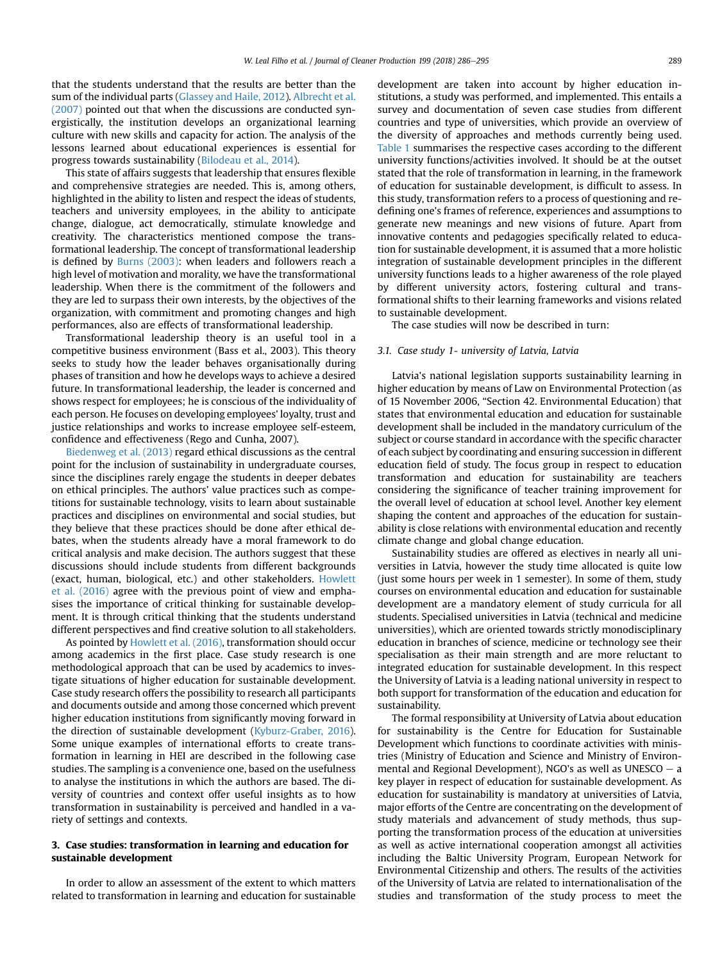that the students understand that the results are better than the sum of the individual parts ([Glassey and Haile, 2012](#page-8-0)). [Albrecht et al.](#page-7-0) [\(2007\)](#page-7-0) pointed out that when the discussions are conducted synergistically, the institution develops an organizational learning culture with new skills and capacity for action. The analysis of the lessons learned about educational experiences is essential for progress towards sustainability [\(Bilodeau et al., 2014](#page-7-0)).

This state of affairs suggests that leadership that ensures flexible and comprehensive strategies are needed. This is, among others, highlighted in the ability to listen and respect the ideas of students, teachers and university employees, in the ability to anticipate change, dialogue, act democratically, stimulate knowledge and creativity. The characteristics mentioned compose the transformational leadership. The concept of transformational leadership is defined by [Burns \(2003\)](#page-8-0): when leaders and followers reach a high level of motivation and morality, we have the transformational leadership. When there is the commitment of the followers and they are led to surpass their own interests, by the objectives of the organization, with commitment and promoting changes and high performances, also are effects of transformational leadership.

Transformational leadership theory is an useful tool in a competitive business environment (Bass et al., 2003). This theory seeks to study how the leader behaves organisationally during phases of transition and how he develops ways to achieve a desired future. In transformational leadership, the leader is concerned and shows respect for employees; he is conscious of the individuality of each person. He focuses on developing employees' loyalty, trust and justice relationships and works to increase employee self-esteem, confidence and effectiveness (Rego and Cunha, 2007).

[Biedenweg et al. \(2013\)](#page-7-0) regard ethical discussions as the central point for the inclusion of sustainability in undergraduate courses, since the disciplines rarely engage the students in deeper debates on ethical principles. The authors' value practices such as competitions for sustainable technology, visits to learn about sustainable practices and disciplines on environmental and social studies, but they believe that these practices should be done after ethical debates, when the students already have a moral framework to do critical analysis and make decision. The authors suggest that these discussions should include students from different backgrounds (exact, human, biological, etc.) and other stakeholders. [Howlett](#page-8-0) [et al. \(2016\)](#page-8-0) agree with the previous point of view and emphasises the importance of critical thinking for sustainable development. It is through critical thinking that the students understand different perspectives and find creative solution to all stakeholders.

As pointed by [Howlett et al. \(2016\)](#page-8-0), transformation should occur among academics in the first place. Case study research is one methodological approach that can be used by academics to investigate situations of higher education for sustainable development. Case study research offers the possibility to research all participants and documents outside and among those concerned which prevent higher education institutions from significantly moving forward in the direction of sustainable development ([Kyburz-Graber, 2016\)](#page-8-0). Some unique examples of international efforts to create transformation in learning in HEI are described in the following case studies. The sampling is a convenience one, based on the usefulness to analyse the institutions in which the authors are based. The diversity of countries and context offer useful insights as to how transformation in sustainability is perceived and handled in a variety of settings and contexts.

### 3. Case studies: transformation in learning and education for sustainable development

In order to allow an assessment of the extent to which matters related to transformation in learning and education for sustainable development are taken into account by higher education institutions, a study was performed, and implemented. This entails a survey and documentation of seven case studies from different countries and type of universities, which provide an overview of the diversity of approaches and methods currently being used. [Table 1](#page-4-0) summarises the respective cases according to the different university functions/activities involved. It should be at the outset stated that the role of transformation in learning, in the framework of education for sustainable development, is difficult to assess. In this study, transformation refers to a process of questioning and redefining one's frames of reference, experiences and assumptions to generate new meanings and new visions of future. Apart from innovative contents and pedagogies specifically related to education for sustainable development, it is assumed that a more holistic integration of sustainable development principles in the different university functions leads to a higher awareness of the role played by different university actors, fostering cultural and transformational shifts to their learning frameworks and visions related to sustainable development.

The case studies will now be described in turn:

### 3.1. Case study 1- university of Latvia, Latvia

Latvia's national legislation supports sustainability learning in higher education by means of Law on Environmental Protection (as of 15 November 2006, "Section 42. Environmental Education) that states that environmental education and education for sustainable development shall be included in the mandatory curriculum of the subject or course standard in accordance with the specific character of each subject by coordinating and ensuring succession in different education field of study. The focus group in respect to education transformation and education for sustainability are teachers considering the significance of teacher training improvement for the overall level of education at school level. Another key element shaping the content and approaches of the education for sustainability is close relations with environmental education and recently climate change and global change education.

Sustainability studies are offered as electives in nearly all universities in Latvia, however the study time allocated is quite low (just some hours per week in 1 semester). In some of them, study courses on environmental education and education for sustainable development are a mandatory element of study curricula for all students. Specialised universities in Latvia (technical and medicine universities), which are oriented towards strictly monodisciplinary education in branches of science, medicine or technology see their specialisation as their main strength and are more reluctant to integrated education for sustainable development. In this respect the University of Latvia is a leading national university in respect to both support for transformation of the education and education for sustainability.

The formal responsibility at University of Latvia about education for sustainability is the Centre for Education for Sustainable Development which functions to coordinate activities with ministries (Ministry of Education and Science and Ministry of Environmental and Regional Development), NGO's as well as UNESCO  $-$  a key player in respect of education for sustainable development. As education for sustainability is mandatory at universities of Latvia, major efforts of the Centre are concentrating on the development of study materials and advancement of study methods, thus supporting the transformation process of the education at universities as well as active international cooperation amongst all activities including the Baltic University Program, European Network for Environmental Citizenship and others. The results of the activities of the University of Latvia are related to internationalisation of the studies and transformation of the study process to meet the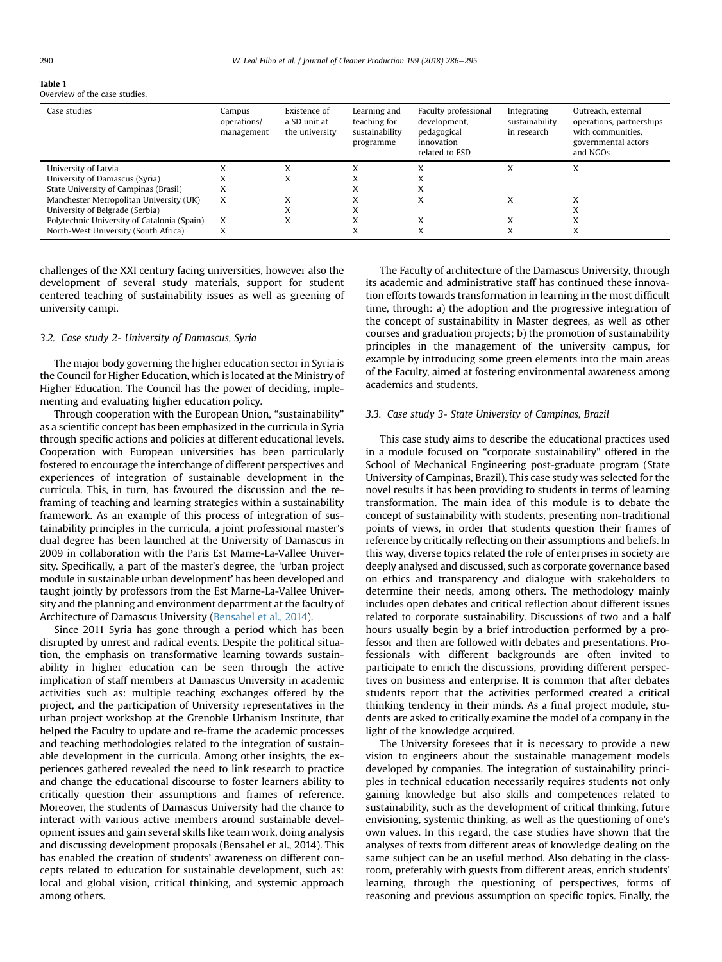# <span id="page-4-0"></span>Table 1

Overview of the case studies.

| Case studies                                | Campus<br>operations/<br>management | Existence of<br>a SD unit at<br>the university | Learning and<br>teaching for<br>sustainability<br>programme | Faculty professional<br>development,<br>pedagogical<br>innovation<br>related to ESD | Integrating<br>sustainability<br>in research | Outreach, external<br>operations, partnerships<br>with communities.<br>governmental actors<br>and NGOs |
|---------------------------------------------|-------------------------------------|------------------------------------------------|-------------------------------------------------------------|-------------------------------------------------------------------------------------|----------------------------------------------|--------------------------------------------------------------------------------------------------------|
| University of Latvia                        |                                     |                                                |                                                             |                                                                                     | ́                                            | X                                                                                                      |
| University of Damascus (Syria)              | л                                   | $\Lambda$                                      |                                                             |                                                                                     |                                              |                                                                                                        |
| State University of Campinas (Brasil)       |                                     |                                                |                                                             |                                                                                     |                                              |                                                                                                        |
| Manchester Metropolitan University (UK)     | X                                   |                                                | v                                                           | v                                                                                   | X                                            |                                                                                                        |
| University of Belgrade (Serbia)             |                                     |                                                | v                                                           |                                                                                     |                                              |                                                                                                        |
| Polytechnic University of Catalonia (Spain) | X                                   | A                                              | v                                                           | v                                                                                   | X                                            | A                                                                                                      |
| North-West University (South Africa)        | л                                   |                                                |                                                             | A                                                                                   | X                                            | X                                                                                                      |

challenges of the XXI century facing universities, however also the development of several study materials, support for student centered teaching of sustainability issues as well as greening of university campi.

### 3.2. Case study 2- University of Damascus, Syria

The major body governing the higher education sector in Syria is the Council for Higher Education, which is located at the Ministry of Higher Education. The Council has the power of deciding, implementing and evaluating higher education policy.

Through cooperation with the European Union, "sustainability" as a scientific concept has been emphasized in the curricula in Syria through specific actions and policies at different educational levels. Cooperation with European universities has been particularly fostered to encourage the interchange of different perspectives and experiences of integration of sustainable development in the curricula. This, in turn, has favoured the discussion and the reframing of teaching and learning strategies within a sustainability framework. As an example of this process of integration of sustainability principles in the curricula, a joint professional master's dual degree has been launched at the University of Damascus in 2009 in collaboration with the Paris Est Marne-La-Vallee University. Specifically, a part of the master's degree, the 'urban project module in sustainable urban development' has been developed and taught jointly by professors from the Est Marne-La-Vallee University and the planning and environment department at the faculty of Architecture of Damascus University [\(Bensahel et al., 2014\)](#page-7-0).

Since 2011 Syria has gone through a period which has been disrupted by unrest and radical events. Despite the political situation, the emphasis on transformative learning towards sustainability in higher education can be seen through the active implication of staff members at Damascus University in academic activities such as: multiple teaching exchanges offered by the project, and the participation of University representatives in the urban project workshop at the Grenoble Urbanism Institute, that helped the Faculty to update and re-frame the academic processes and teaching methodologies related to the integration of sustainable development in the curricula. Among other insights, the experiences gathered revealed the need to link research to practice and change the educational discourse to foster learners ability to critically question their assumptions and frames of reference. Moreover, the students of Damascus University had the chance to interact with various active members around sustainable development issues and gain several skills like team work, doing analysis and discussing development proposals (Bensahel et al., 2014). This has enabled the creation of students' awareness on different concepts related to education for sustainable development, such as: local and global vision, critical thinking, and systemic approach among others.

The Faculty of architecture of the Damascus University, through its academic and administrative staff has continued these innovation efforts towards transformation in learning in the most difficult time, through: a) the adoption and the progressive integration of the concept of sustainability in Master degrees, as well as other courses and graduation projects; b) the promotion of sustainability principles in the management of the university campus, for example by introducing some green elements into the main areas of the Faculty, aimed at fostering environmental awareness among academics and students.

### 3.3. Case study 3- State University of Campinas, Brazil

This case study aims to describe the educational practices used in a module focused on "corporate sustainability" offered in the School of Mechanical Engineering post-graduate program (State University of Campinas, Brazil). This case study was selected for the novel results it has been providing to students in terms of learning transformation. The main idea of this module is to debate the concept of sustainability with students, presenting non-traditional points of views, in order that students question their frames of reference by critically reflecting on their assumptions and beliefs. In this way, diverse topics related the role of enterprises in society are deeply analysed and discussed, such as corporate governance based on ethics and transparency and dialogue with stakeholders to determine their needs, among others. The methodology mainly includes open debates and critical reflection about different issues related to corporate sustainability. Discussions of two and a half hours usually begin by a brief introduction performed by a professor and then are followed with debates and presentations. Professionals with different backgrounds are often invited to participate to enrich the discussions, providing different perspectives on business and enterprise. It is common that after debates students report that the activities performed created a critical thinking tendency in their minds. As a final project module, students are asked to critically examine the model of a company in the light of the knowledge acquired.

The University foresees that it is necessary to provide a new vision to engineers about the sustainable management models developed by companies. The integration of sustainability principles in technical education necessarily requires students not only gaining knowledge but also skills and competences related to sustainability, such as the development of critical thinking, future envisioning, systemic thinking, as well as the questioning of one's own values. In this regard, the case studies have shown that the analyses of texts from different areas of knowledge dealing on the same subject can be an useful method. Also debating in the classroom, preferably with guests from different areas, enrich students' learning, through the questioning of perspectives, forms of reasoning and previous assumption on specific topics. Finally, the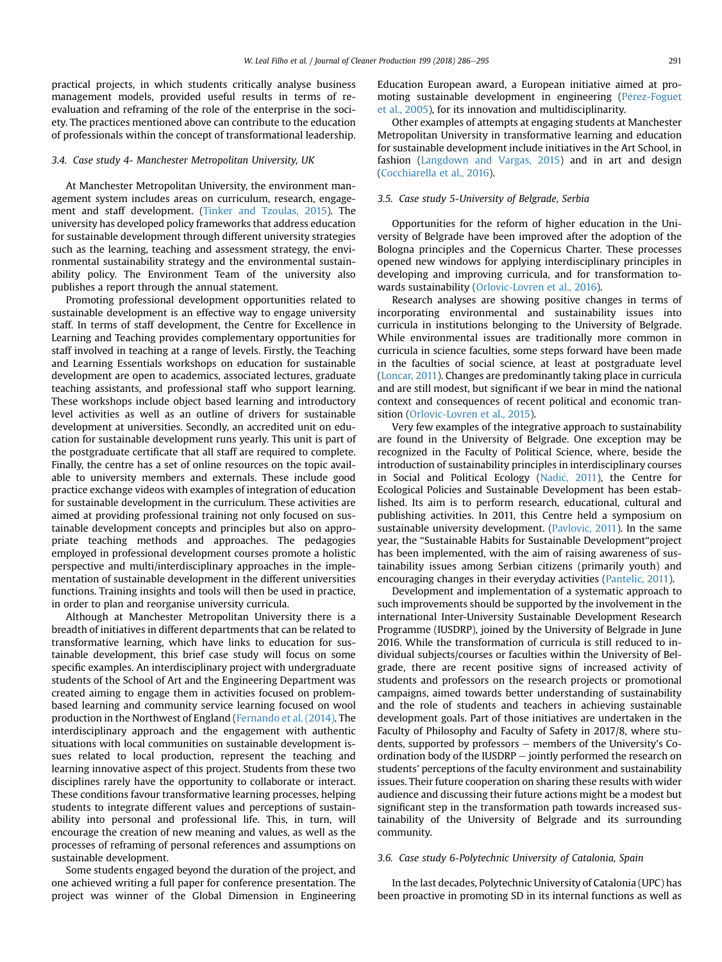practical projects, in which students critically analyse business management models, provided useful results in terms of reevaluation and reframing of the role of the enterprise in the society. The practices mentioned above can contribute to the education of professionals within the concept of transformational leadership.

### 3.4. Case study 4- Manchester Metropolitan University, UK

At Manchester Metropolitan University, the environment management system includes areas on curriculum, research, engagement and staff development. ([Tinker and Tzoulas, 2015\)](#page-9-0). The university has developed policy frameworks that address education for sustainable development through different university strategies such as the learning, teaching and assessment strategy, the environmental sustainability strategy and the environmental sustainability policy. The Environment Team of the university also publishes a report through the annual statement.

Promoting professional development opportunities related to sustainable development is an effective way to engage university staff. In terms of staff development, the Centre for Excellence in Learning and Teaching provides complementary opportunities for staff involved in teaching at a range of levels. Firstly, the Teaching and Learning Essentials workshops on education for sustainable development are open to academics, associated lectures, graduate teaching assistants, and professional staff who support learning. These workshops include object based learning and introductory level activities as well as an outline of drivers for sustainable development at universities. Secondly, an accredited unit on education for sustainable development runs yearly. This unit is part of the postgraduate certificate that all staff are required to complete. Finally, the centre has a set of online resources on the topic available to university members and externals. These include good practice exchange videos with examples of integration of education for sustainable development in the curriculum. These activities are aimed at providing professional training not only focused on sustainable development concepts and principles but also on appropriate teaching methods and approaches. The pedagogies employed in professional development courses promote a holistic perspective and multi/interdisciplinary approaches in the implementation of sustainable development in the different universities functions. Training insights and tools will then be used in practice, in order to plan and reorganise university curricula.

Although at Manchester Metropolitan University there is a breadth of initiatives in different departments that can be related to transformative learning, which have links to education for sustainable development, this brief case study will focus on some specific examples. An interdisciplinary project with undergraduate students of the School of Art and the Engineering Department was created aiming to engage them in activities focused on problembased learning and community service learning focused on wool production in the Northwest of England [\(Fernando et al. \(2014\)](#page-8-0). The interdisciplinary approach and the engagement with authentic situations with local communities on sustainable development issues related to local production, represent the teaching and learning innovative aspect of this project. Students from these two disciplines rarely have the opportunity to collaborate or interact. These conditions favour transformative learning processes, helping students to integrate different values and perceptions of sustainability into personal and professional life. This, in turn, will encourage the creation of new meaning and values, as well as the processes of reframing of personal references and assumptions on sustainable development.

Some students engaged beyond the duration of the project, and one achieved writing a full paper for conference presentation. The project was winner of the Global Dimension in Engineering Education European award, a European initiative aimed at promoting sustainable development in engineering (Pérez-Foguet [et al., 2005](#page-9-0)), for its innovation and multidisciplinarity.

Other examples of attempts at engaging students at Manchester Metropolitan University in transformative learning and education for sustainable development include initiatives in the Art School, in fashion [\(Langdown and Vargas, 2015](#page-8-0)) and in art and design ([Cocchiarella et al., 2016\)](#page-8-0).

### 3.5. Case study 5-University of Belgrade, Serbia

Opportunities for the reform of higher education in the University of Belgrade have been improved after the adoption of the Bologna principles and the Copernicus Charter. These processes opened new windows for applying interdisciplinary principles in developing and improving curricula, and for transformation towards sustainability ([Orlovic-Lovren et al., 2016](#page-8-0)).

Research analyses are showing positive changes in terms of incorporating environmental and sustainability issues into curricula in institutions belonging to the University of Belgrade. While environmental issues are traditionally more common in curricula in science faculties, some steps forward have been made in the faculties of social science, at least at postgraduate level ([Loncar, 2011\)](#page-8-0). Changes are predominantly taking place in curricula and are still modest, but significant if we bear in mind the national context and consequences of recent political and economic transition [\(Orlovic-Lovren et al., 2015](#page-8-0)).

Very few examples of the integrative approach to sustainability are found in the University of Belgrade. One exception may be recognized in the Faculty of Political Science, where, beside the introduction of sustainability principles in interdisciplinary courses in Social and Political Ecology ([Nadi](#page-8-0)ć, 2011), the Centre for Ecological Policies and Sustainable Development has been established. Its aim is to perform research, educational, cultural and publishing activities. In 2011, this Centre held a symposium on sustainable university development. ([Pavlovic, 2011](#page-8-0)). In the same year, the "Sustainable Habits for Sustainable Development"project has been implemented, with the aim of raising awareness of sustainability issues among Serbian citizens (primarily youth) and encouraging changes in their everyday activities ([Pantelic, 2011\)](#page-8-0).

Development and implementation of a systematic approach to such improvements should be supported by the involvement in the international Inter-University Sustainable Development Research Programme (IUSDRP), joined by the University of Belgrade in June 2016. While the transformation of curricula is still reduced to individual subjects/courses or faculties within the University of Belgrade, there are recent positive signs of increased activity of students and professors on the research projects or promotional campaigns, aimed towards better understanding of sustainability and the role of students and teachers in achieving sustainable development goals. Part of those initiatives are undertaken in the Faculty of Philosophy and Faculty of Safety in 2017/8, where students, supported by professors  $-$  members of the University's Coordination body of the IUSDRP  $-$  jointly performed the research on students' perceptions of the faculty environment and sustainability issues. Their future cooperation on sharing these results with wider audience and discussing their future actions might be a modest but significant step in the transformation path towards increased sustainability of the University of Belgrade and its surrounding community.

### 3.6. Case study 6-Polytechnic University of Catalonia, Spain

In the last decades, Polytechnic University of Catalonia (UPC) has been proactive in promoting SD in its internal functions as well as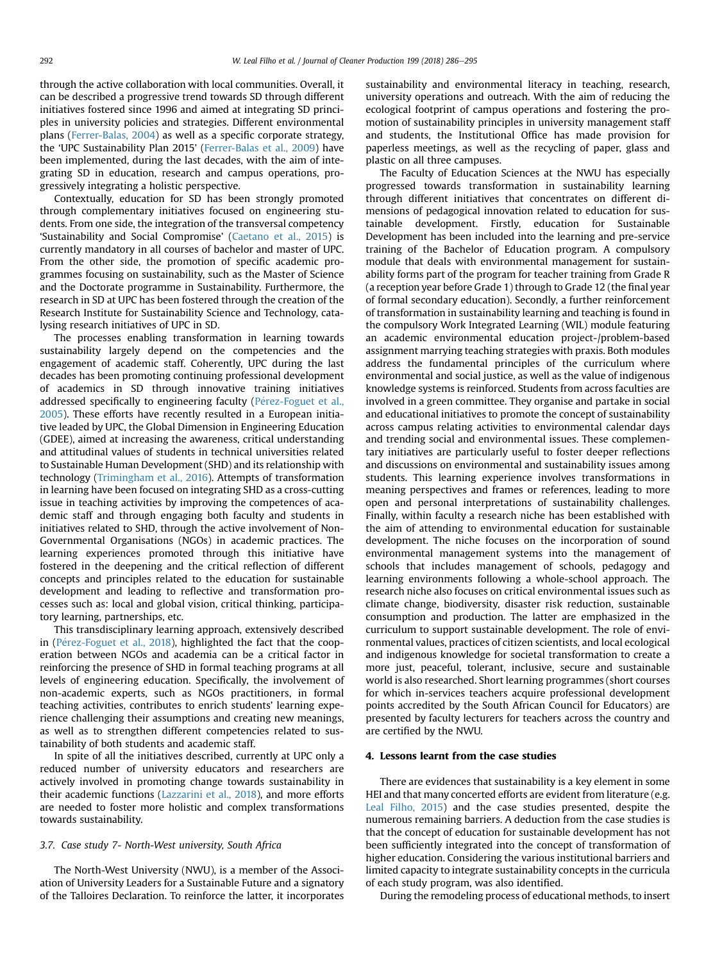through the active collaboration with local communities. Overall, it can be described a progressive trend towards SD through different initiatives fostered since 1996 and aimed at integrating SD principles in university policies and strategies. Different environmental plans ([Ferrer-Balas, 2004](#page-8-0)) as well as a specific corporate strategy, the 'UPC Sustainability Plan 2015' ([Ferrer-Balas et al., 2009\)](#page-8-0) have been implemented, during the last decades, with the aim of integrating SD in education, research and campus operations, progressively integrating a holistic perspective.

Contextually, education for SD has been strongly promoted through complementary initiatives focused on engineering students. From one side, the integration of the transversal competency 'Sustainability and Social Compromise' ([Caetano et al., 2015\)](#page-8-0) is currently mandatory in all courses of bachelor and master of UPC. From the other side, the promotion of specific academic programmes focusing on sustainability, such as the Master of Science and the Doctorate programme in Sustainability. Furthermore, the research in SD at UPC has been fostered through the creation of the Research Institute for Sustainability Science and Technology, catalysing research initiatives of UPC in SD.

The processes enabling transformation in learning towards sustainability largely depend on the competencies and the engagement of academic staff. Coherently, UPC during the last decades has been promoting continuing professional development of academics in SD through innovative training initiatives addressed specifically to engineering faculty (Pérez-Foguet et al., [2005](#page-9-0)). These efforts have recently resulted in a European initiative leaded by UPC, the Global Dimension in Engineering Education (GDEE), aimed at increasing the awareness, critical understanding and attitudinal values of students in technical universities related to Sustainable Human Development (SHD) and its relationship with technology ([Trimingham et al., 2016\)](#page-9-0). Attempts of transformation in learning have been focused on integrating SHD as a cross-cutting issue in teaching activities by improving the competences of academic staff and through engaging both faculty and students in initiatives related to SHD, through the active involvement of Non-Governmental Organisations (NGOs) in academic practices. The learning experiences promoted through this initiative have fostered in the deepening and the critical reflection of different concepts and principles related to the education for sustainable development and leading to reflective and transformation processes such as: local and global vision, critical thinking, participatory learning, partnerships, etc.

This transdisciplinary learning approach, extensively described in (Pérez-Foguet et al., 2018), highlighted the fact that the cooperation between NGOs and academia can be a critical factor in reinforcing the presence of SHD in formal teaching programs at all levels of engineering education. Specifically, the involvement of non-academic experts, such as NGOs practitioners, in formal teaching activities, contributes to enrich students' learning experience challenging their assumptions and creating new meanings, as well as to strengthen different competencies related to sustainability of both students and academic staff.

In spite of all the initiatives described, currently at UPC only a reduced number of university educators and researchers are actively involved in promoting change towards sustainability in their academic functions [\(Lazzarini et al., 2018\)](#page-8-0), and more efforts are needed to foster more holistic and complex transformations towards sustainability.

### 3.7. Case study 7- North-West university, South Africa

The North-West University (NWU), is a member of the Association of University Leaders for a Sustainable Future and a signatory of the Talloires Declaration. To reinforce the latter, it incorporates sustainability and environmental literacy in teaching, research, university operations and outreach. With the aim of reducing the ecological footprint of campus operations and fostering the promotion of sustainability principles in university management staff and students, the Institutional Office has made provision for paperless meetings, as well as the recycling of paper, glass and plastic on all three campuses.

The Faculty of Education Sciences at the NWU has especially progressed towards transformation in sustainability learning through different initiatives that concentrates on different dimensions of pedagogical innovation related to education for sustainable development. Firstly, education for Sustainable Development has been included into the learning and pre-service training of the Bachelor of Education program. A compulsory module that deals with environmental management for sustainability forms part of the program for teacher training from Grade R (a reception year before Grade 1) through to Grade 12 (the final year of formal secondary education). Secondly, a further reinforcement of transformation in sustainability learning and teaching is found in the compulsory Work Integrated Learning (WIL) module featuring an academic environmental education project-/problem-based assignment marrying teaching strategies with praxis. Both modules address the fundamental principles of the curriculum where environmental and social justice, as well as the value of indigenous knowledge systems is reinforced. Students from across faculties are involved in a green committee. They organise and partake in social and educational initiatives to promote the concept of sustainability across campus relating activities to environmental calendar days and trending social and environmental issues. These complementary initiatives are particularly useful to foster deeper reflections and discussions on environmental and sustainability issues among students. This learning experience involves transformations in meaning perspectives and frames or references, leading to more open and personal interpretations of sustainability challenges. Finally, within faculty a research niche has been established with the aim of attending to environmental education for sustainable development. The niche focuses on the incorporation of sound environmental management systems into the management of schools that includes management of schools, pedagogy and learning environments following a whole-school approach. The research niche also focuses on critical environmental issues such as climate change, biodiversity, disaster risk reduction, sustainable consumption and production. The latter are emphasized in the curriculum to support sustainable development. The role of environmental values, practices of citizen scientists, and local ecological and indigenous knowledge for societal transformation to create a more just, peaceful, tolerant, inclusive, secure and sustainable world is also researched. Short learning programmes (short courses for which in-services teachers acquire professional development points accredited by the South African Council for Educators) are presented by faculty lecturers for teachers across the country and are certified by the NWU.

### 4. Lessons learnt from the case studies

There are evidences that sustainability is a key element in some HEI and that many concerted efforts are evident from literature (e.g. [Leal Filho, 2015\)](#page-8-0) and the case studies presented, despite the numerous remaining barriers. A deduction from the case studies is that the concept of education for sustainable development has not been sufficiently integrated into the concept of transformation of higher education. Considering the various institutional barriers and limited capacity to integrate sustainability concepts in the curricula of each study program, was also identified.

During the remodeling process of educational methods, to insert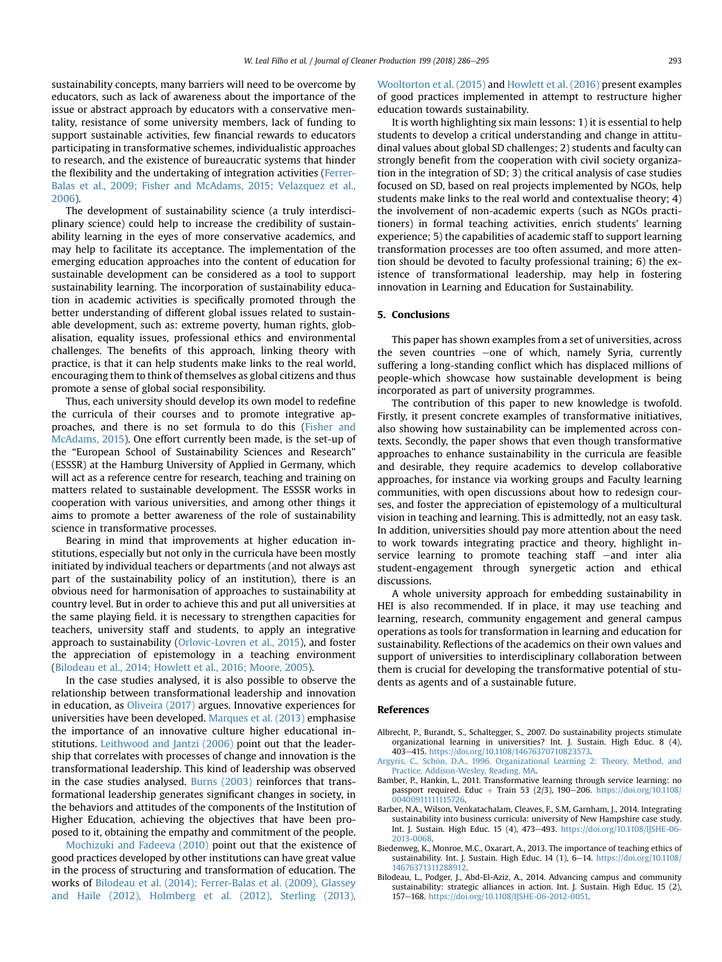<span id="page-7-0"></span>sustainability concepts, many barriers will need to be overcome by educators, such as lack of awareness about the importance of the issue or abstract approach by educators with a conservative mentality, resistance of some university members, lack of funding to support sustainable activities, few financial rewards to educators participating in transformative schemes, individualistic approaches to research, and the existence of bureaucratic systems that hinder the flexibility and the undertaking of integration activities ([Ferrer-](#page-8-0)[Balas et al., 2009; Fisher and McAdams, 2015; Velazquez et al.,](#page-8-0) [2006\)](#page-8-0).

The development of sustainability science (a truly interdisciplinary science) could help to increase the credibility of sustainability learning in the eyes of more conservative academics, and may help to facilitate its acceptance. The implementation of the emerging education approaches into the content of education for sustainable development can be considered as a tool to support sustainability learning. The incorporation of sustainability education in academic activities is specifically promoted through the better understanding of different global issues related to sustainable development, such as: extreme poverty, human rights, globalisation, equality issues, professional ethics and environmental challenges. The benefits of this approach, linking theory with practice, is that it can help students make links to the real world, encouraging them to think of themselves as global citizens and thus promote a sense of global social responsibility.

Thus, each university should develop its own model to redefine the curricula of their courses and to promote integrative approaches, and there is no set formula to do this ([Fisher and](#page-8-0) [McAdams, 2015\)](#page-8-0). One effort currently been made, is the set-up of the "European School of Sustainability Sciences and Research" (ESSSR) at the Hamburg University of Applied in Germany, which will act as a reference centre for research, teaching and training on matters related to sustainable development. The ESSSR works in cooperation with various universities, and among other things it aims to promote a better awareness of the role of sustainability science in transformative processes.

Bearing in mind that improvements at higher education institutions, especially but not only in the curricula have been mostly initiated by individual teachers or departments (and not always ast part of the sustainability policy of an institution), there is an obvious need for harmonisation of approaches to sustainability at country level. But in order to achieve this and put all universities at the same playing field. it is necessary to strengthen capacities for teachers, university staff and students, to apply an integrative approach to sustainability [\(Orlovic-Lovren et al., 2015](#page-8-0)), and foster the appreciation of epistemology in a teaching environment (Bilodeau et al., 2014; Howlett et al., 2016; Moore, 2005).

In the case studies analysed, it is also possible to observe the relationship between transformational leadership and innovation in education, as [Oliveira \(2017\)](#page-8-0) argues. Innovative experiences for universities have been developed. [Marques et al. \(2013\)](#page-8-0) emphasise the importance of an innovative culture higher educational institutions. [Leithwood and Jantzi \(2006\)](#page-8-0) point out that the leadership that correlates with processes of change and innovation is the transformational leadership. This kind of leadership was observed in the case studies analysed. [Burns \(2003\)](#page-8-0) reinforces that transformational leadership generates significant changes in society, in the behaviors and attitudes of the components of the Institution of Higher Education, achieving the objectives that have been proposed to it, obtaining the empathy and commitment of the people.

[Mochizuki and Fadeeva \(2010\)](#page-8-0) point out that the existence of good practices developed by other institutions can have great value in the process of structuring and transformation of education. The works of Bilodeau et al. (2014); Ferrer-Balas et al. (2009), Glassey and Haile (2012), Holmberg et al. (2012), Sterling (2013), Wooltorton et al. (2015) and [Howlett et al. \(2016\)](#page-8-0) present examples of good practices implemented in attempt to restructure higher education towards sustainability.

It is worth highlighting six main lessons: 1) it is essential to help students to develop a critical understanding and change in attitudinal values about global SD challenges; 2) students and faculty can strongly benefit from the cooperation with civil society organization in the integration of SD; 3) the critical analysis of case studies focused on SD, based on real projects implemented by NGOs, help students make links to the real world and contextualise theory; 4) the involvement of non-academic experts (such as NGOs practitioners) in formal teaching activities, enrich students' learning experience; 5) the capabilities of academic staff to support learning transformation processes are too often assumed, and more attention should be devoted to faculty professional training; 6) the existence of transformational leadership, may help in fostering innovation in Learning and Education for Sustainability.

### 5. Conclusions

This paper has shown examples from a set of universities, across the seven countries  $-\text{one}$  of which, namely Syria, currently suffering a long-standing conflict which has displaced millions of people-which showcase how sustainable development is being incorporated as part of university programmes.

The contribution of this paper to new knowledge is twofold. Firstly, it present concrete examples of transformative initiatives, also showing how sustainability can be implemented across contexts. Secondly, the paper shows that even though transformative approaches to enhance sustainability in the curricula are feasible and desirable, they require academics to develop collaborative approaches, for instance via working groups and Faculty learning communities, with open discussions about how to redesign courses, and foster the appreciation of epistemology of a multicultural vision in teaching and learning. This is admittedly, not an easy task. In addition, universities should pay more attention about the need to work towards integrating practice and theory, highlight inservice learning to promote teaching staff  $-$ and inter alia student-engagement through synergetic action and ethical discussions.

A whole university approach for embedding sustainability in HEI is also recommended. If in place, it may use teaching and learning, research, community engagement and general campus operations as tools for transformation in learning and education for sustainability. Reflections of the academics on their own values and support of universities to interdisciplinary collaboration between them is crucial for developing the transformative potential of students as agents and of a sustainable future.

#### References

- Albrecht, P., Burandt, S., Schaltegger, S., 2007. Do sustainability projects stimulate organizational learning in universities? Int. J. Sustain. High Educ. 8 (4), 403e415. <https://doi.org/10.1108/14676370710823573>.
- Argyris, C., Schön, D.A., 1996. Organizational Learning 2: Theory, Method, and [Practice. Addison-Wesley, Reading, MA](http://refhub.elsevier.com/S0959-6526(18)31984-X/sref3).
- Bamber, P., Hankin, L., 2011. Transformative learning through service learning: no passport required. Educ + Train 53 (2/3), 190-206. [https://doi.org/10.1108/](https://doi.org/10.1108/00400911111115726) [00400911111115726](https://doi.org/10.1108/00400911111115726).
- Barber, N.A., Wilson, Venkatachalam, Cleaves, F., S.M, Garnham, J., 2014. Integrating sustainability into business curricula: university of New Hampshire case study. Int. J. Sustain. High Educ. 15 (4), 473-493. [https://doi.org/10.1108/IJSHE-06-](https://doi.org/10.1108/IJSHE-06-2013-0068) [2013-0068](https://doi.org/10.1108/IJSHE-06-2013-0068).
- Biedenweg, K., Monroe, M.C., Oxarart, A., 2013. The importance of teaching ethics of sustainability. Int. J. Sustain. High Educ. 14 (1), 6-14. [https://doi.org/10.1108/](https://doi.org/10.1108/14676371311288912) [14676371311288912.](https://doi.org/10.1108/14676371311288912)
- Bilodeau, L., Podger, J., Abd-El-Aziz, A., 2014. Advancing campus and community sustainability: strategic alliances in action. Int. J. Sustain. High Educ. 15 (2), 157-168. [https://doi.org/10.1108/IJSHE-06-2012-0051.](https://doi.org/10.1108/IJSHE-06-2012-0051)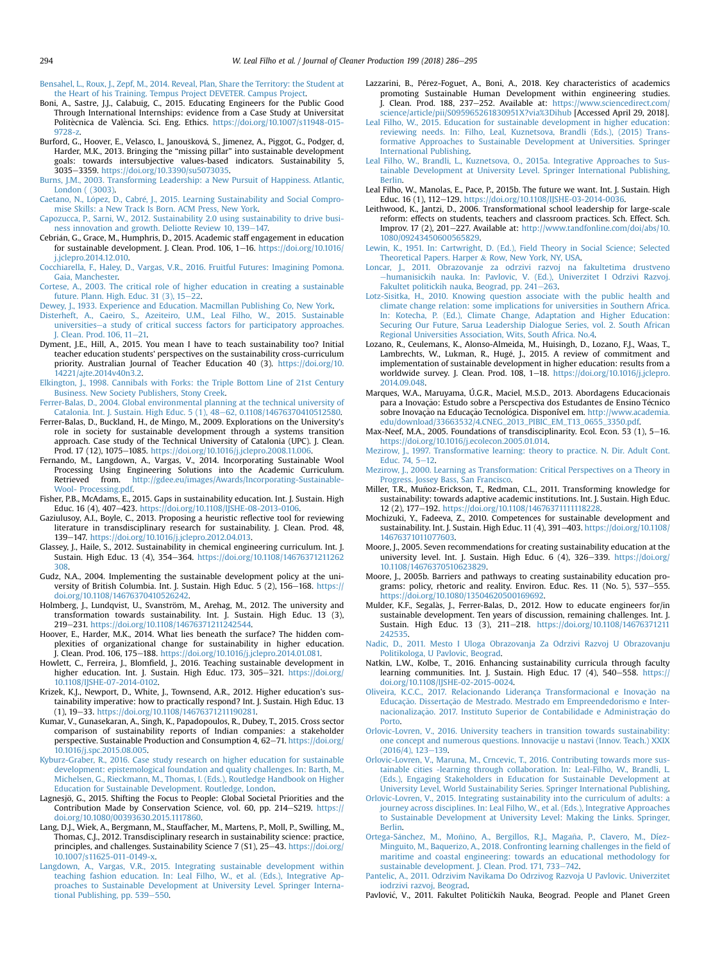<span id="page-8-0"></span>[Bensahel, L., Roux, J., Zepf, M., 2014. Reveal, Plan, Share the Territory: the Student at](http://refhub.elsevier.com/S0959-6526(18)31984-X/sref1a) [the Heart of his Training. Tempus Project DEVETER. Campus Project.](http://refhub.elsevier.com/S0959-6526(18)31984-X/sref1a)

- Boni, A., Sastre, J.J., Calabuig, C., 2015. Educating Engineers for the Public Good Through International Internships: evidence from a Case Study at Universitat Politècnica de València. Sci. Eng. Ethics. [https://doi.org/10.1007/s11948-015-](https://doi.org/10.1007/s11948-015-9728-z) [9728-z.](https://doi.org/10.1007/s11948-015-9728-z)
- Burford, G., Hoover, E., Velasco, I., Janoušková, S., Jimenez, A., Piggot, G., Podger, d, Harder, M.K., 2013. Bringing the "missing pillar" into sustainable development goals: towards intersubjective values-based indicators. Sustainability 5, 3035e3359. [https://doi.org/10.3390/su5073035.](https://doi.org/10.3390/su5073035)
- [Burns, J.M., 2003. Transforming Leadership: a New Pursuit of Happiness. Atlantic,](http://refhub.elsevier.com/S0959-6526(18)31984-X/sref12) [London \( \(3003\)](http://refhub.elsevier.com/S0959-6526(18)31984-X/sref12).
- Caetano, N., López, D., Cabré[, J., 2015. Learning Sustainability and Social Compro](http://refhub.elsevier.com/S0959-6526(18)31984-X/sref13) [mise Skills: a New Track Is Born. ACM Press, New York](http://refhub.elsevier.com/S0959-6526(18)31984-X/sref13).
- [Capozucca, P., Sarni, W., 2012. Sustainability 2.0 using sustainability to drive busi](http://refhub.elsevier.com/S0959-6526(18)31984-X/sref14)[ness innovation and growth. Deliotte Review 10, 139](http://refhub.elsevier.com/S0959-6526(18)31984-X/sref14)–[147.](http://refhub.elsevier.com/S0959-6526(18)31984-X/sref14)
- Cebrián, G., Grace, M., Humphris, D., 2015. Academic staff engagement in education for sustainable development. J. Clean. Prod. 106, 1-16. [https://doi.org/10.1016/](https://doi.org/10.1016/j.jclepro.2014.12.010) [j.jclepro.2014.12.010.](https://doi.org/10.1016/j.jclepro.2014.12.010)
- [Cocchiarella, F., Haley, D., Vargas, V.R., 2016. Fruitful Futures: Imagining Pomona.](http://refhub.elsevier.com/S0959-6526(18)31984-X/sref16) [Gaia, Manchester.](http://refhub.elsevier.com/S0959-6526(18)31984-X/sref16)
- [Cortese, A., 2003. The critical role of higher education in creating a sustainable](http://refhub.elsevier.com/S0959-6526(18)31984-X/sref17) future. Plann. High. Educ.  $31$  (3),  $15-22$ .
- [Dewey, J., 1933. Experience and Education. Macmillan Publishing Co, New York](http://refhub.elsevier.com/S0959-6526(18)31984-X/sref19).
- [Disterheft, A., Caeiro, S., Azeiteiro, U.M., Leal Filho, W., 2015. Sustainable](http://refhub.elsevier.com/S0959-6526(18)31984-X/sref20) [universities](http://refhub.elsevier.com/S0959-6526(18)31984-X/sref20)-[a study of critical success factors for participatory approaches.](http://refhub.elsevier.com/S0959-6526(18)31984-X/sref20) [J. Clean. Prod. 106, 11](http://refhub.elsevier.com/S0959-6526(18)31984-X/sref20)-[21.](http://refhub.elsevier.com/S0959-6526(18)31984-X/sref20)
- Dyment, J.E., Hill, A., 2015. You mean I have to teach sustainability too? Initial teacher education students' perspectives on the sustainability cross-curriculum priority. Australian Journal of Teacher Education 40 (3). [https://doi.org/10.](https://doi.org/10.14221/ajte.2014v40n3.2) [14221/ajte.2014v40n3.2.](https://doi.org/10.14221/ajte.2014v40n3.2)
- [Elkington, J., 1998. Cannibals with Forks: the Triple Bottom Line of 21st Century](http://refhub.elsevier.com/S0959-6526(18)31984-X/sref22) [Business. New Society Publishers, Stony Creek](http://refhub.elsevier.com/S0959-6526(18)31984-X/sref22).
- [Ferrer-Balas, D., 2004. Global environmental planning at the technical university of](http://refhub.elsevier.com/S0959-6526(18)31984-X/sref23) [Catalonia. Int. J. Sustain. High Educ. 5 \(1\), 48](http://refhub.elsevier.com/S0959-6526(18)31984-X/sref23)-[62, 0.1108/14676370410512580.](http://refhub.elsevier.com/S0959-6526(18)31984-X/sref23)
- Ferrer-Balas, D., Buckland, H., de Mingo, M., 2009. Explorations on the University's role in society for sustainable development through a systems transition approach. Case study of the Technical University of Catalonia (UPC). J. Clean. Prod. 17 (12), 1075-1085. https://doi.org/10.1016/j.jclepro.2008.11.006
- Fernando, M., Langdown, A., Vargas, V., 2014. Incorporating Sustainable Wool Processing Using Engineering Solutions into the Academic Curriculum. Retrieved from. [http://gdee.eu/images/Awards/Incorporating-Sustainable-](http://gdee.eu/images/Awards/Incorporating-Sustainable-Wool-%20Processing.pdf)[Wool- Processing.pdf](http://gdee.eu/images/Awards/Incorporating-Sustainable-Wool-%20Processing.pdf).
- Fisher, P.B., McAdams, E., 2015. Gaps in sustainability education. Int. J. Sustain. High Educ. 16 (4), 407-423. [https://doi.org/10.1108/IJSHE-08-2013-0106.](https://doi.org/10.1108/IJSHE-08-2013-0106)
- Gaziulusoy, A.I., Boyle, C., 2013. Proposing a heuristic reflective tool for reviewing literature in transdisciplinary research for sustainability. J. Clean. Prod. 48, 139-147. [https://doi.org/10.1016/j.jclepro.2012.04.013.](https://doi.org/10.1016/j.jclepro.2012.04.013)
- Glassey, J., Haile, S., 2012. Sustainability in chemical engineering curriculum. Int. J. Sustain. High Educ. 13 (4), 354-364. [https://doi.org/10.1108/14676371211262](https://doi.org/10.1108/14676371211262308) [308](https://doi.org/10.1108/14676371211262308).
- Gudz, N.A., 2004. Implementing the sustainable development policy at the university of British Columbia. Int. J. Sustain. High Educ. 5 (2), 156-168. [https://](https://doi.org/10.1108/14676370410526242) [doi.org/10.1108/14676370410526242.](https://doi.org/10.1108/14676370410526242)
- Holmberg, J., Lundqvist, U., Svanström, M., Arehag, M., 2012. The university and transformation towards sustainability. Int. J. Sustain. High Educ. 13 (3), 219-231. <https://doi.org/10.1108/14676371211242544>.
- Hoover, E., Harder, M.K., 2014. What lies beneath the surface? The hidden complexities of organizational change for sustainability in higher education. J. Clean. Prod. 106, 175-188. [https://doi.org/10.1016/j.jclepro.2014.01.081.](https://doi.org/10.1016/j.jclepro.2014.01.081)
- Howlett, C., Ferreira, J., Blomfield, J., 2016. Teaching sustainable development in higher education. Int. J. Sustain. High Educ. 173, 305-321. [https://doi.org/](https://doi.org/10.1108/IJSHE-07-2014-0102) [10.1108/IJSHE-07-2014-0102](https://doi.org/10.1108/IJSHE-07-2014-0102).
- Krizek, K.J., Newport, D., White, J., Townsend, A.R., 2012. Higher education's sustainability imperative: how to practically respond? Int. J. Sustain. High Educ. 13 (1), 19-33. [https://doi.org/10.1108/14676371211190281.](https://doi.org/10.1108/14676371211190281)
- Kumar, V., Gunasekaran, A., Singh, K., Papadopoulos, R., Dubey, T., 2015. Cross sector comparison of sustainability reports of Indian companies: a stakeholder perspective. Sustainable Production and Consumption 4, 62-71. [https://doi.org/](https://doi.org/10.1016/j.spc.2015.08.005) [10.1016/j.spc.2015.08.005](https://doi.org/10.1016/j.spc.2015.08.005).
- [Kyburz-Graber, R., 2016. Case study research on higher education for sustainable](http://refhub.elsevier.com/S0959-6526(18)31984-X/sref36) [development: epistemological foundation and quality challenges. In: Barth, M.,](http://refhub.elsevier.com/S0959-6526(18)31984-X/sref36) [Michelsen, G., Rieckmann, M., Thomas, I. \(Eds.\), Routledge Handbook on Higher](http://refhub.elsevier.com/S0959-6526(18)31984-X/sref36) [Education for Sustainable Development. Routledge, London.](http://refhub.elsevier.com/S0959-6526(18)31984-X/sref36)
- Lagnesjö, G., 2015. Shifting the Focus to People: Global Societal Priorities and the Contribution Made by Conservation Science, vol. 60, pp. 214-S219. [https://](https://doi.org/10.1080/00393630.2015.1117860) [doi.org/10.1080/00393630.2015.1117860.](https://doi.org/10.1080/00393630.2015.1117860)
- Lang, D.J., Wiek, A., Bergmann, M., Stauffacher, M., Martens, P., Moll, P., Swilling, M., Thomas, C.J., 2012. Transdisciplinary research in sustainability science: practice, principles, and challenges. Sustainability Science 7 (S1), 25-43. [https://doi.org/](https://doi.org/10.1007/s11625-011-0149-x) [10.1007/s11625-011-0149-x.](https://doi.org/10.1007/s11625-011-0149-x)
- [Langdown, A., Vargas, V.R., 2015. Integrating sustainable development within](http://refhub.elsevier.com/S0959-6526(18)31984-X/sref39) [teaching fashion education. In: Leal Filho, W., et al. \(Eds.\), Integrative Ap](http://refhub.elsevier.com/S0959-6526(18)31984-X/sref39)[proaches to Sustainable Development at University Level. Springer Interna](http://refhub.elsevier.com/S0959-6526(18)31984-X/sref39)[tional Publishing, pp. 539](http://refhub.elsevier.com/S0959-6526(18)31984-X/sref39)-[550](http://refhub.elsevier.com/S0959-6526(18)31984-X/sref39).
- Lazzarini, B., Pérez-Foguet, A., Boni, A., 2018. Key characteristics of academics promoting Sustainable Human Development within engineering studies. J. Clean. Prod. 188, 237-252. Available at: [https://www.sciencedirect.com/](https://www.sciencedirect.com/science/article/pii/S095965261830951X?via%253Dihub) [science/article/pii/S095965261830951X?via%3Dihub](https://www.sciencedirect.com/science/article/pii/S095965261830951X?via%253Dihub) [Accessed April 29, 2018].
- [Leal Filho, W., 2015. Education for sustainable development in higher education:](http://refhub.elsevier.com/S0959-6526(18)31984-X/sref41) [reviewing needs. In: Filho, Leal, Kuznetsova, Brandli \(Eds.\), \(2015\) Trans](http://refhub.elsevier.com/S0959-6526(18)31984-X/sref41)[formative Approaches to Sustainable Development at Universities. Springer](http://refhub.elsevier.com/S0959-6526(18)31984-X/sref41) [International Publishing.](http://refhub.elsevier.com/S0959-6526(18)31984-X/sref41)
- [Leal Filho, W., Brandli, L., Kuznetsova, O., 2015a. Integrative Approaches to Sus](http://refhub.elsevier.com/S0959-6526(18)31984-X/sref42)[tainable Development at University Level. Springer International Publishing,](http://refhub.elsevier.com/S0959-6526(18)31984-X/sref42) [Berlin.](http://refhub.elsevier.com/S0959-6526(18)31984-X/sref42)
- Leal Filho, W., Manolas, E., Pace, P., 2015b. The future we want. Int. J. Sustain. High Educ. 16 (1), 112-129. <https://doi.org/10.1108/IJSHE-03-2014-0036>.
- Leithwood, K., Jantzi, D., 2006. Transformational school leadership for large-scale reform: effects on students, teachers and classroom practices. Sch. Effect. Sch. Improv. 17 (2), 201-227. Available at: [http://www.tandfonline.com/doi/abs/10.](http://www.tandfonline.com/doi/abs/10.1080/09243450600565829) [1080/09243450600565829.](http://www.tandfonline.com/doi/abs/10.1080/09243450600565829)
- [Lewin, K., 1951. In: Cartwright, D. \(Ed.\), Field Theory in Social Science; Selected](http://refhub.elsevier.com/S0959-6526(18)31984-X/sref47) [Theoretical Papers. Harper](http://refhub.elsevier.com/S0959-6526(18)31984-X/sref47) & [Row, New York, NY, USA.](http://refhub.elsevier.com/S0959-6526(18)31984-X/sref47) [Loncar, J., 2011. Obrazovanje za odrzivi razvoj na fakultetima drustveno](http://refhub.elsevier.com/S0959-6526(18)31984-X/sref48)
- e[humanisickih nauka. In: Pavlovic, V. \(Ed.\), Univerzitet I Odrzivi Razvoj.](http://refhub.elsevier.com/S0959-6526(18)31984-X/sref48) [Fakultet politickih nauka, Beograd, pp. 241](http://refhub.elsevier.com/S0959-6526(18)31984-X/sref48)-[263](http://refhub.elsevier.com/S0959-6526(18)31984-X/sref48).
- [Lotz-Sisitka, H., 2010. Knowing question associate with the public health and](http://refhub.elsevier.com/S0959-6526(18)31984-X/sref49) [climate change relation: some implications for universities in Southern Africa.](http://refhub.elsevier.com/S0959-6526(18)31984-X/sref49) [In: Kotecha, P. \(Ed.\), Climate Change, Adaptation and Higher Education:](http://refhub.elsevier.com/S0959-6526(18)31984-X/sref49) [Securing Our Future, Sarua Leadership Dialogue Series, vol. 2. South African](http://refhub.elsevier.com/S0959-6526(18)31984-X/sref49) [Regional Universities Association, Wits, South Africa. No.4.](http://refhub.elsevier.com/S0959-6526(18)31984-X/sref49)
- Lozano, R., Ceulemans, K., Alonso-Almeida, M., Huisingh, D., Lozano, F.J., Waas, T., Lambrechts, W., Lukman, R., Hugé, J., 2015. A review of commitment and implementation of sustainable development in higher education: results from a worldwide survey. J. Clean. Prod. 108, 1-18. [https://doi.org/10.1016/j.jclepro.](https://doi.org/10.1016/j.jclepro.2014.09.048) [2014.09.048](https://doi.org/10.1016/j.jclepro.2014.09.048).
- Marques, W.A., Maruyama, Ú.G.R., Maciel, M.S.D., 2013. Abordagens Educacionais para a Inovação: Estudo sobre a Perscpectiva dos Estudantes de Ensino Técnico sobre Inovação na Educação Tecnológica. Disponível em. [http://www.academia.](http://www.academia.edu/download/33663532/4.CNEG_2013_PIBIC_EM_T13_0655_3350.pdf) [edu/download/33663532/4.CNEG\\_2013\\_PIBIC\\_EM\\_T13\\_0655\\_3350.pdf](http://www.academia.edu/download/33663532/4.CNEG_2013_PIBIC_EM_T13_0655_3350.pdf).
- Max-Neef, M.A., 2005. Foundations of transdisciplinarity. Ecol. Econ. 53 (1), 5-16. [https://doi.org/10.1016/j.ecolecon.2005.01.014.](https://doi.org/10.1016/j.ecolecon.2005.01.014)
- [Mezirow, J., 1997. Transformative learning: theory to practice. N. Dir. Adult Cont.](http://refhub.elsevier.com/S0959-6526(18)31984-X/sref54) [Educ. 74, 5](http://refhub.elsevier.com/S0959-6526(18)31984-X/sref54)-[12.](http://refhub.elsevier.com/S0959-6526(18)31984-X/sref54)
- [Mezirow, J., 2000. Learning as Transformation: Critical Perspectives on a Theory in](http://refhub.elsevier.com/S0959-6526(18)31984-X/sref55) [Progress. Jossey Bass, San Francisco.](http://refhub.elsevier.com/S0959-6526(18)31984-X/sref55)
- Miller, T.R., Muñoz-Erickson, T., Redman, C.L., 2011. Transforming knowledge for sustainability: towards adaptive academic institutions. Int. J. Sustain. High Educ. 12 (2), 177-192. <https://doi.org/10.1108/14676371111118228>
- Mochizuki, Y., Fadeeva, Z., 2010. Competences for sustainable development and sustainability. Int. J. Sustain. High Educ. 11 (4), 391-403. [https://doi.org/10.1108/](https://doi.org/10.1108/14676371011077603) [14676371011077603.](https://doi.org/10.1108/14676371011077603)
- Moore, J., 2005. Seven recommendations for creating sustainability education at the university level. Int. J. Sustain. High Educ.  $6(4)$ , 326-339. [https://doi.org/](https://doi.org/10.1108/14676370510623829) [10.1108/14676370510623829](https://doi.org/10.1108/14676370510623829).
- Moore, J., 2005b. Barriers and pathways to creating sustainability education programs: policy, rhetoric and reality. Environ. Educ. Res. 11 (No. 5), 537-555. [https://doi.org/10.1080/13504620500169692.](https://doi.org/10.1080/13504620500169692)
- Mulder, K.F., Segalas, J., Ferrer-Balas, D., 2012. How to educate engineers for/in sustainable development. Ten years of discussion, remaining challenges. Int. J. Sustain. High Educ. 13 (3), 211-218. [https://doi.org/10.1108/14676371211](https://doi.org/10.1108/14676371211242535) [242535](https://doi.org/10.1108/14676371211242535).
- [Nadic, D., 2011. Mesto I Uloga Obrazovanja Za Odrzivi Razvoj U Obrazovanju](http://refhub.elsevier.com/S0959-6526(18)31984-X/sref61) [Politikologa, U Pavlovic, Beograd](http://refhub.elsevier.com/S0959-6526(18)31984-X/sref61).
- Natkin, L.W., Kolbe, T., 2016. Enhancing sustainability curricula through faculty learning communities. Int. J. Sustain. High Educ. 17 (4),  $540-558$ . [https://](https://doi.org/10.1108/IJSHE-02-2015-0024) [doi.org/10.1108/IJSHE-02-2015-0024](https://doi.org/10.1108/IJSHE-02-2015-0024).
- [Oliveira, K.C.C., 2017. Relacionando Liderança Transformacional e Inovaç](http://refhub.elsevier.com/S0959-6526(18)31984-X/sref63)ã[o na](http://refhub.elsevier.com/S0959-6526(18)31984-X/sref63) Educação. Dissertaçã[o de Mestrado. Mestrado em Empreendedorismo e Inter](http://refhub.elsevier.com/S0959-6526(18)31984-X/sref63) [nacionalizaç](http://refhub.elsevier.com/S0959-6526(18)31984-X/sref63)ão. 2017. Instituto Superior de Contabilidade e Administraçã[o do](http://refhub.elsevier.com/S0959-6526(18)31984-X/sref63) [Porto](http://refhub.elsevier.com/S0959-6526(18)31984-X/sref63).
- [Orlovic-Lovren, V., 2016. University teachers in transition towards sustainability:](http://refhub.elsevier.com/S0959-6526(18)31984-X/sref64) [one concept and numerous questions. Innovacije u nastavi \(Innov. Teach.\) XXIX](http://refhub.elsevier.com/S0959-6526(18)31984-X/sref64)  $(2016/4), 123 - 139.$  $(2016/4), 123 - 139.$  $(2016/4), 123 - 139.$  $(2016/4), 123 - 139.$
- [Orlovic-Lovren, V., Maruna, M., Crncevic, T., 2016. Contributing towards more sus](http://refhub.elsevier.com/S0959-6526(18)31984-X/sref65)[tainable cities -learning through collaboration. In: Leal-Filho, W., Brandli, L.](http://refhub.elsevier.com/S0959-6526(18)31984-X/sref65) [\(Eds.\), Engaging Stakeholders in Education for Sustainable Development at](http://refhub.elsevier.com/S0959-6526(18)31984-X/sref65) [University Level, World Sustainability Series. Springer International Publishing](http://refhub.elsevier.com/S0959-6526(18)31984-X/sref65).
- [Orlovic-Lovren, V., 2015. Integrating sustainability into the curriculum of adults: a](http://refhub.elsevier.com/S0959-6526(18)31984-X/sref66) [journey across disciplines. In: Leal Filho, W., et al. \(Eds.\), Integrative Approaches](http://refhub.elsevier.com/S0959-6526(18)31984-X/sref66) [to Sustainable Development at University Level: Making the Links. Springer,](http://refhub.elsevier.com/S0959-6526(18)31984-X/sref66) [Berlin.](http://refhub.elsevier.com/S0959-6526(18)31984-X/sref66)
- Ortega-Sánchez, M., Moñino, A., Bergillos, R.J., Magaña, P., Clavero, M., Díez-[Minguito, M., Baquerizo, A., 2018. Confronting learning challenges in the](http://refhub.elsevier.com/S0959-6526(18)31984-X/sref67) field of [maritime and coastal engineering: towards an educational methodology for](http://refhub.elsevier.com/S0959-6526(18)31984-X/sref67) [sustainable development. J. Clean. Prod. 171, 733](http://refhub.elsevier.com/S0959-6526(18)31984-X/sref67)-[742.](http://refhub.elsevier.com/S0959-6526(18)31984-X/sref67)
- [Pantelic, A., 2011. Odrzivim Navikama Do Odrzivog Razvoja U Pavlovic. Univerzitet](http://refhub.elsevier.com/S0959-6526(18)31984-X/sref68) [iodrzivi razvoj, Beograd.](http://refhub.elsevier.com/S0959-6526(18)31984-X/sref68)
- Pavlović, V., 2011. Fakultet Političkih Nauka, Beograd. People and Planet Green